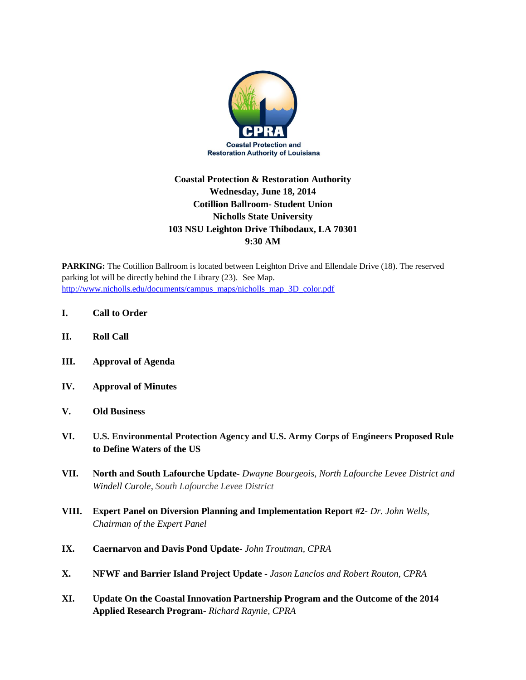

## **Coastal Protection & Restoration Authority Wednesday, June 18, 2014 Cotillion Ballroom- Student Union Nicholls State University 103 NSU Leighton Drive Thibodaux, LA 70301 9:30 AM**

**PARKING:** The Cotillion Ballroom is located between Leighton Drive and Ellendale Drive (18). The reserved parking lot will be directly behind the Library (23). See Map. [http://www.nicholls.edu/documents/campus\\_maps/nicholls\\_map\\_3D\\_color.pdf](http://www.nicholls.edu/documents/campus_maps/nicholls_map_3D_color.pdf)

- **I. Call to Order**
- **II. Roll Call**
- **III. Approval of Agenda**
- **IV. Approval of Minutes**
- **V. Old Business**
- **VI. U.S. Environmental Protection Agency and U.S. Army Corps of Engineers Proposed Rule to Define Waters of the US**
- **VII. North and South Lafourche Update-** *Dwayne Bourgeois, North Lafourche Levee District and Windell Curole, South Lafourche Levee District*
- **VIII. Expert Panel on Diversion Planning and Implementation Report #2-** *Dr. John Wells, Chairman of the Expert Panel*
- **IX. Caernarvon and Davis Pond Update-** *John Troutman, CPRA*
- **X. NFWF and Barrier Island Project Update -** *Jason Lanclos and Robert Routon, CPRA*
- **XI. Update On the Coastal Innovation Partnership Program and the Outcome of the 2014 Applied Research Program-** *Richard Raynie, CPRA*